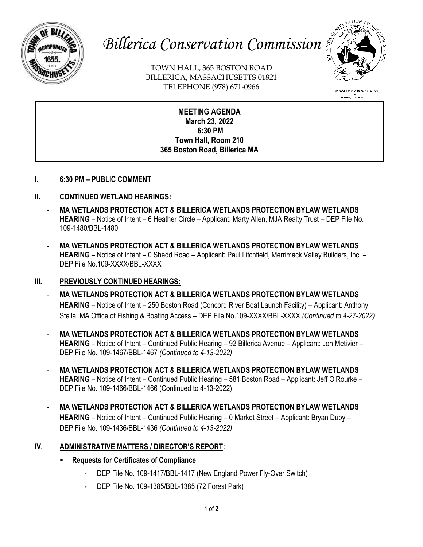

# *Billerica Conservation Commission*

TOWN HALL, 365 BOSTON ROAD BILLERICA, MASSACHUSETTS 01821 TELEPHONE (978) 671-0966



**MEETING AGENDA March 23, 2022 6:30 PM Town Hall, Room 210 365 Boston Road, Billerica MA**

**I. 6:30 PM – PUBLIC COMMENT** 

### **II. CONTINUED WETLAND HEARINGS:**

- **MA WETLANDS PROTECTION ACT & BILLERICA WETLANDS PROTECTION BYLAW WETLANDS HEARING** – Notice of Intent – 6 Heather Circle – Applicant: Marty Allen, MJA Realty Trust – DEP File No. 109-1480/BBL-1480
- **MA WETLANDS PROTECTION ACT & BILLERICA WETLANDS PROTECTION BYLAW WETLANDS HEARING** – Notice of Intent – 0 Shedd Road – Applicant: Paul Litchfield, Merrimack Valley Builders, Inc. – DEP File No.109-XXXX/BBL-XXXX

#### **III. PREVIOUSLY CONTINUED HEARINGS:**

- **MA WETLANDS PROTECTION ACT & BILLERICA WETLANDS PROTECTION BYLAW WETLANDS HEARING** – Notice of Intent – 250 Boston Road (Concord River Boat Launch Facility) – Applicant: Anthony Stella, MA Office of Fishing & Boating Access – DEP File No.109-XXXX/BBL-XXXX *(Continued to 4-27-2022)*
- **MA WETLANDS PROTECTION ACT & BILLERICA WETLANDS PROTECTION BYLAW WETLANDS HEARING** – Notice of Intent – Continued Public Hearing – 92 Billerica Avenue – Applicant: Jon Metivier – DEP File No. 109-1467/BBL-1467 *(Continued to 4-13-2022)*
- **MA WETLANDS PROTECTION ACT & BILLERICA WETLANDS PROTECTION BYLAW WETLANDS HEARING** – Notice of Intent – Continued Public Hearing – 581 Boston Road – Applicant: Jeff O'Rourke – DEP File No. 109-1466/BBL-1466 (Continued to 4-13-2022)
- **MA WETLANDS PROTECTION ACT & BILLERICA WETLANDS PROTECTION BYLAW WETLANDS HEARING** – Notice of Intent – Continued Public Hearing – 0 Market Street – Applicant: Bryan Duby – DEP File No. 109-1436/BBL-1436 *(Continued to 4-13-2022)*

#### **IV. ADMINISTRATIVE MATTERS / DIRECTOR'S REPORT:**

- **Requests for Certificates of Compliance**
	- DEP File No. 109-1417/BBL-1417 (New England Power Fly-Over Switch)
	- DEP File No. 109-1385/BBL-1385 (72 Forest Park)